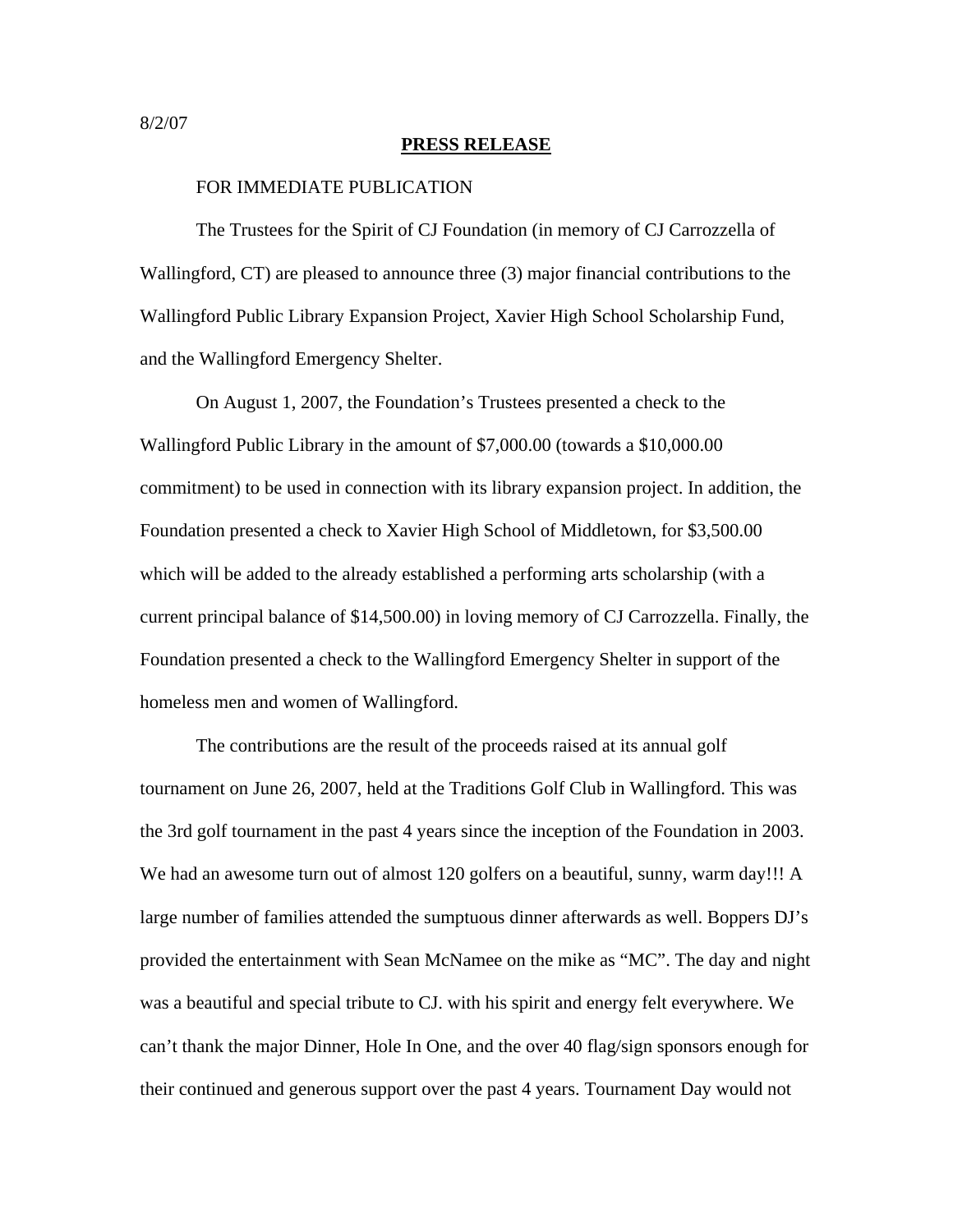## **PRESS RELEASE**

## FOR IMMEDIATE PUBLICATION

The Trustees for the Spirit of CJ Foundation (in memory of CJ Carrozzella of Wallingford, CT) are pleased to announce three (3) major financial contributions to the Wallingford Public Library Expansion Project, Xavier High School Scholarship Fund, and the Wallingford Emergency Shelter.

 On August 1, 2007, the Foundation's Trustees presented a check to the Wallingford Public Library in the amount of \$7,000.00 (towards a \$10,000.00 commitment) to be used in connection with its library expansion project. In addition, the Foundation presented a check to Xavier High School of Middletown, for \$3,500.00 which will be added to the already established a performing arts scholarship (with a current principal balance of \$14,500.00) in loving memory of CJ Carrozzella. Finally, the Foundation presented a check to the Wallingford Emergency Shelter in support of the homeless men and women of Wallingford.

The contributions are the result of the proceeds raised at its annual golf tournament on June 26, 2007, held at the Traditions Golf Club in Wallingford. This was the 3rd golf tournament in the past 4 years since the inception of the Foundation in 2003. We had an awesome turn out of almost 120 golfers on a beautiful, sunny, warm day!!! A large number of families attended the sumptuous dinner afterwards as well. Boppers DJ's provided the entertainment with Sean McNamee on the mike as "MC". The day and night was a beautiful and special tribute to CJ. with his spirit and energy felt everywhere. We can't thank the major Dinner, Hole In One, and the over 40 flag/sign sponsors enough for their continued and generous support over the past 4 years. Tournament Day would not